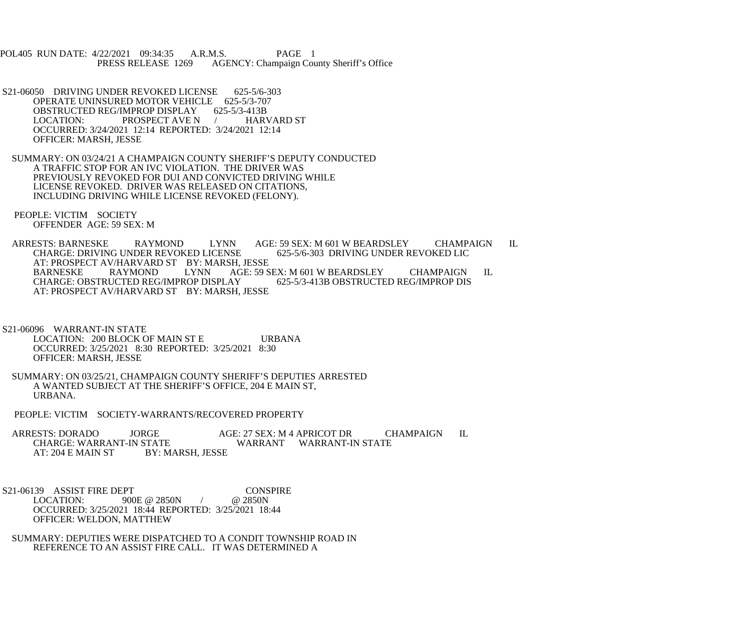POL405 RUN DATE: 4/22/2021 09:34:35 A.R.M.S. PAGE 1<br>PRESS RELEASE 1269 AGENCY: Champaign Cou AGENCY: Champaign County Sheriff's Office

- S21-06050 DRIVING UNDER REVOKED LICENSE 625-5/6-303 OPERATE UNINSURED MOTOR VEHICLE 625-5/3-707<br>OBSTRUCTED REG/IMPROP DISPLAY 625-5/3-413B OBSTRUCTED REG/IMPROP DISPLAY LOCATION: PROSPECT AVE N / HARVARD ST OCCURRED: 3/24/2021 12:14 REPORTED: 3/24/2021 12:14 OFFICER: MARSH, JESSE
- SUMMARY: ON 03/24/21 A CHAMPAIGN COUNTY SHERIFF'S DEPUTY CONDUCTED A TRAFFIC STOP FOR AN IVC VIOLATION. THE DRIVER WAS PREVIOUSLY REVOKED FOR DUI AND CONVICTED DRIVING WHILE LICENSE REVOKED. DRIVER WAS RELEASED ON CITATIONS, INCLUDING DRIVING WHILE LICENSE REVOKED (FELONY).
- PEOPLE: VICTIM SOCIETY OFFENDER AGE: 59 SEX: M

ARRESTS: BARNESKE RAYMOND LYNN AGE: 59 SEX: M 601 W BEARDSLEY CHAMPAIGN IL<br>CHARGE: DRIVING UNDER REVOKED LICENSE 625-5/6-303 DRIVING UNDER REVOKED LIC CHARGE: DRIVING UNDER REVOKED LICENSE AT: PROSPECT AV/HARVARD ST BY: MARSH, JESSE<br>BARNESKE RAYMOND LYNN AGE: 59 S BARNESKE RAYMOND LYNN AGE: 59 SEX: M 601 W BEARDSLEY CHAMPAIGN IL<br>CHARGE: OBSTRUCTED REG/IMPROP DISPLAY 625-5/3-413B OBSTRUCTED REG/IMPROP DIS CHARGE: OBSTRUCTED REG/IMPROP DISPLAY AT: PROSPECT AV/HARVARD ST BY: MARSH, JESSE

- S21-06096 WARRANT-IN STATE LOCATION: 200 BLOCK OF MAIN ST E URBANA OCCURRED: 3/25/2021 8:30 REPORTED: 3/25/2021 8:30 OFFICER: MARSH, JESSE
- SUMMARY: ON 03/25/21, CHAMPAIGN COUNTY SHERIFF'S DEPUTIES ARRESTED A WANTED SUBJECT AT THE SHERIFF'S OFFICE, 204 E MAIN ST, URBANA.
- PEOPLE: VICTIM SOCIETY-WARRANTS/RECOVERED PROPERTY
- ARRESTS: DORADO JORGE AGE: 27 SEX: M 4 APRICOT DR CHAMPAIGN IL CHARGE: WARRANT WARRANT WARRANT-IN STATE CHARGE: WARRANT-IN STATE WARRANT WARRANT-IN STATE AT: 204 E MAIN ST
- S21-06139 ASSIST FIRE DEPT<br>LOCATION: 900E @ 2850N / @ 2850N 900E @ 2850N / OCCURRED: 3/25/2021 18:44 REPORTED: 3/25/2021 18:44 OFFICER: WELDON, MATTHEW
- SUMMARY: DEPUTIES WERE DISPATCHED TO A CONDIT TOWNSHIP ROAD IN REFERENCE TO AN ASSIST FIRE CALL. IT WAS DETERMINED A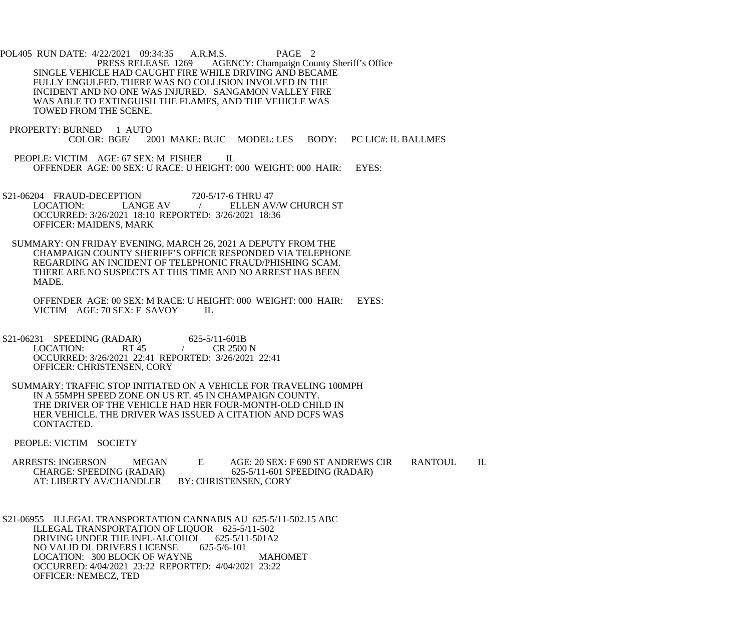POL405 RUN DATE: 4/22/2021 09:34:35 A.R.M.S. PAGE 2<br>PRESS RELEASE 1269 AGENCY: Champaign Cou AGENCY: Champaign County Sheriff's Office SINGLE VEHICLE HAD CAUGHT FIRE WHILE DRIVING AND BECAME FULLY ENGULFED. THERE WAS NO COLLISION INVOLVED IN THE INCIDENT AND NO ONE WAS INJURED. SANGAMON VALLEY FIRE WAS ABLE TO EXTINGUISH THE FLAMES, AND THE VEHICLE WAS TOWED FROM THE SCENE.

- PROPERTY: BURNED 1 AUTO<br>COLOR: BGE/20 2001 MAKE: BUIC MODEL: LES BODY: PC LIC#: IL BALLMES
- PEOPLE: VICTIM AGE: 67 SEX: M FISHER IL OFFENDER AGE: 00 SEX: U RACE: U HEIGHT: 000 WEIGHT: 000 HAIR: EYES:
- S21-06204 FRAUD-DECEPTION 720-5/17-6 THRU 47<br>LOCATION: LANGE AV / ELLEN AV ELLEN AV/W CHURCH ST OCCURRED: 3/26/2021 18:10 REPORTED: 3/26/2021 18:36 OFFICER: MAIDENS, MARK
- SUMMARY: ON FRIDAY EVENING, MARCH 26, 2021 A DEPUTY FROM THE CHAMPAIGN COUNTY SHERIFF'S OFFICE RESPONDED VIA TELEPHONE REGARDING AN INCIDENT OF TELEPHONIC FRAUD/PHISHING SCAM. THERE ARE NO SUSPECTS AT THIS TIME AND NO ARREST HAS BEEN MADE.

 OFFENDER AGE: 00 SEX: M RACE: U HEIGHT: 000 WEIGHT: 000 HAIR: EYES: VICTIM AGE: 70 SEX: F SAVOY IL

- S21-06231 SPEEDING (RADAR) 625-5/11-601B<br>LOCATION: RT 45 (R 2500 N  $LOGATION:$  RT 45 / OCCURRED: 3/26/2021 22:41 REPORTED: 3/26/2021 22:41 OFFICER: CHRISTENSEN, CORY
- SUMMARY: TRAFFIC STOP INITIATED ON A VEHICLE FOR TRAVELING 100MPH IN A 55MPH SPEED ZONE ON US RT. 45 IN CHAMPAIGN COUNTY. THE DRIVER OF THE VEHICLE HAD HER FOUR-MONTH-OLD CHILD IN HER VEHICLE. THE DRIVER WAS ISSUED A CITATION AND DCFS WAS CONTACTED.
- PEOPLE: VICTIM SOCIETY

ARRESTS: INGERSON MEGAN E AGE: 20 SEX: F 690 ST ANDREWS CIR RANTOUL IL<br>CHARGE: SPEEDING (RADAR) 625-5/11-601 SPEEDING (RADAR) 625-5/11-601 SPEEDING (RADAR)<br>BY: CHRISTENSEN, CORY AT: LIBERTY AV/CHANDLER

 S21-06955 ILLEGAL TRANSPORTATION CANNABIS AU 625-5/11-502.15 ABC ILLEGAL TRANSPORTATION OF LIQUOR 625-5/11-502 DRIVING UNDER THE INFL-ALCOHOL 625-5/11-501A2<br>NO VALID DL DRIVERS LICENSE 625-5/6-101 NO VALID DL DRIVERS LICENSE LOCATION: 300 BLOCK OF WAYNE MAHOMET OCCURRED: 4/04/2021 23:22 REPORTED: 4/04/2021 23:22 OFFICER: NEMECZ, TED